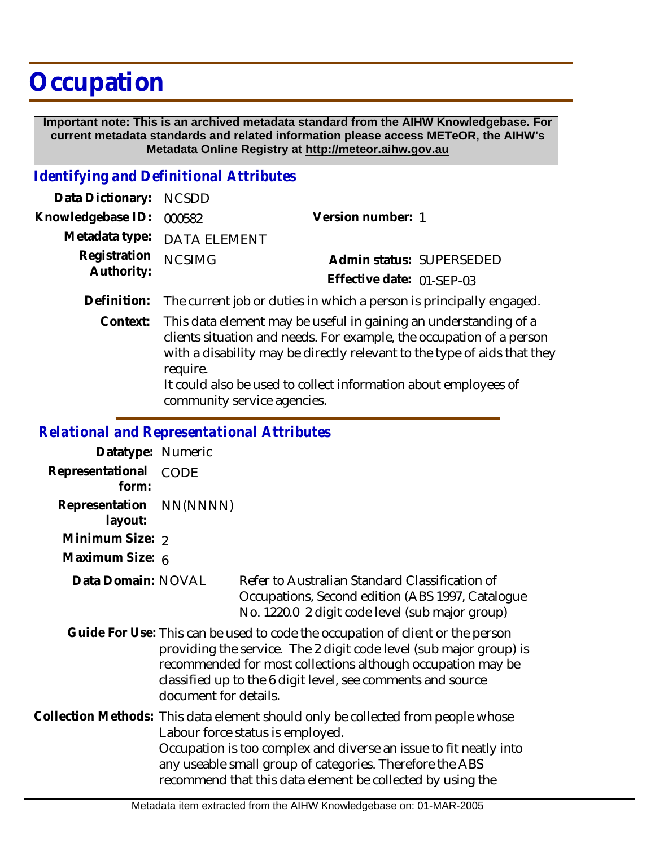# **Occupation**

 **Important note: This is an archived metadata standard from the AIHW Knowledgebase. For current metadata standards and related information please access METeOR, the AIHW's Metadata Online Registry at http://meteor.aihw.gov.au**

### *Identifying and Definitional Attributes*

| Data Dictionary: NCSDD   |                             |                           |  |
|--------------------------|-----------------------------|---------------------------|--|
| Knowledgebase ID: 000582 |                             | Version number: 1         |  |
|                          | Metadata type: DATA ELEMENT |                           |  |
| Registration NCSIMG      |                             | Admin status: SUPERSEDED  |  |
| Authority:               |                             | Effective date: 01-SEP-03 |  |
|                          |                             |                           |  |

**Definition:** The current job or duties in which a person is principally engaged.

Context: This data element may be useful in gaining an understanding of a clients situation and needs. For example, the occupation of a person with a disability may be directly relevant to the type of aids that they require. It could also be used to collect information about employees of

community service agencies.

### *Relational and Representational Attributes*

**Datatype:** Numeric **Representational** CODE  **form: Representation** NN(NNNN)  **layout: Minimum Size: 2 Maximum Size:** 6 **Data Domain:**

Refer to Australian Standard Classification of Occupations, Second edition (ABS 1997, Catalogue No. 1220.0 2 digit code level (sub major group)

Guide For Use: This can be used to code the occupation of client or the person providing the service. The 2 digit code level (sub major group) is recommended for most collections although occupation may be classified up to the 6 digit level, see comments and source document for details.

Collection Methods: This data element should only be collected from people whose Labour force status is employed. Occupation is too complex and diverse an issue to fit neatly into any useable small group of categories. Therefore the ABS recommend that this data element be collected by using the